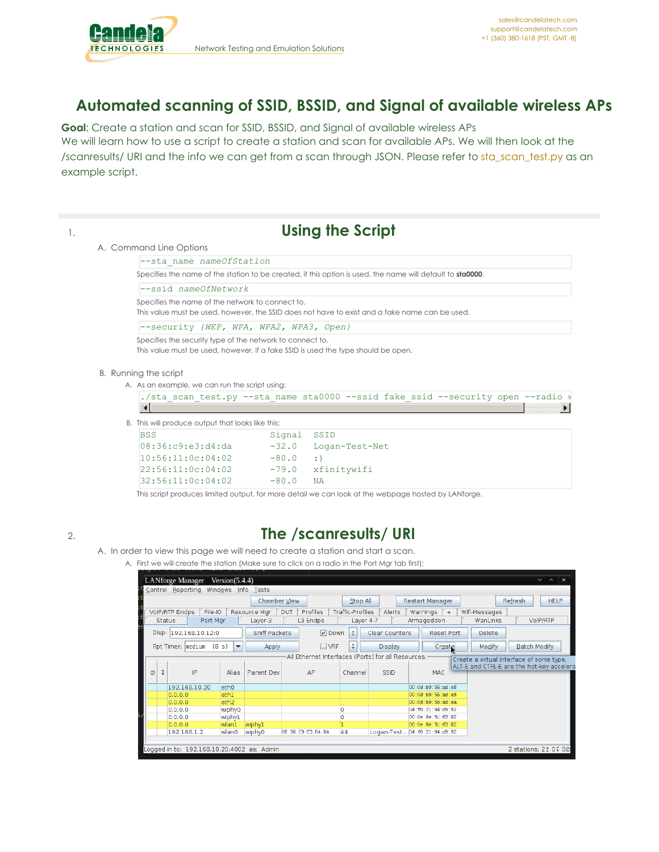

# **Automated scanning of SSID, BSSID, and Signal of available wireless APs**

**Goal**: Create a station and scan for SSID, BSSID, and Signal of available wireless APs We will learn how to use a script to create a station and scan for available APs. We will then look at the /scanresults/ URI and the info we can get from a scan through JSON. Please refer to [sta\\_scan\\_test.py](https://github.com/greearb/lanforge-scripts/blob/master/py-scripts/sta_scan_test.py) as an example script.

|                                                                                                            |                                         | <b>Using the Script</b>                                                                                    |  |  |  |  |  |  |  |
|------------------------------------------------------------------------------------------------------------|-----------------------------------------|------------------------------------------------------------------------------------------------------------|--|--|--|--|--|--|--|
| A. Command Line Options                                                                                    |                                         |                                                                                                            |  |  |  |  |  |  |  |
| --sta name nameOfStation                                                                                   |                                         |                                                                                                            |  |  |  |  |  |  |  |
|                                                                                                            |                                         | Specifies the name of the station to be created, if this option is used, the name will default to sta0000. |  |  |  |  |  |  |  |
| $--ssid$ nameOfNetwork                                                                                     |                                         |                                                                                                            |  |  |  |  |  |  |  |
| Specifies the name of the network to connect to.                                                           |                                         | This value must be used, however, the SSID does not have to exist and a fake name can be used.             |  |  |  |  |  |  |  |
|                                                                                                            | --security {WEP, WPA, WPA2, WPA3, Open} |                                                                                                            |  |  |  |  |  |  |  |
| Specifies the security type of the network to connect to.                                                  |                                         |                                                                                                            |  |  |  |  |  |  |  |
| This value must be used, however, if a fake SSID is used the type should be open.<br>B. Running the script |                                         |                                                                                                            |  |  |  |  |  |  |  |
| A. As an example, we can run the script using:                                                             |                                         |                                                                                                            |  |  |  |  |  |  |  |
|                                                                                                            |                                         | ./sta scan test.py --sta name sta0000 --ssid fake ssid --security open --radio v                           |  |  |  |  |  |  |  |
| B. This will produce output that looks like this:                                                          |                                         |                                                                                                            |  |  |  |  |  |  |  |
| <b>BSS</b>                                                                                                 | Signal                                  | SSID                                                                                                       |  |  |  |  |  |  |  |
| 08:36:c9:e3:d4:da                                                                                          | $-32.0$                                 | Logan-Test-Net                                                                                             |  |  |  |  |  |  |  |
| 10:56:11:0c:04:02                                                                                          | $-80.0$                                 | $:$ )                                                                                                      |  |  |  |  |  |  |  |
| 22:56:11:0c:04:02                                                                                          | $-79.0$                                 | xfinitywifi                                                                                                |  |  |  |  |  |  |  |

# 2. **The /scanresults/ URI**

- A. In order to view this page we will need to create a station and start a scan.
	- A. First we will create the station (Make sure to click on a radio in the Port Mgr tab first):

|   |                                                                       | <b>LANforge Manager</b> |                       | Version(5.4.4)                    |                      |                   |                                                      |          |                       |                                   |                   |                                           |                     | $V \wedge X$ |             |  |
|---|-----------------------------------------------------------------------|-------------------------|-----------------------|-----------------------------------|----------------------|-------------------|------------------------------------------------------|----------|-----------------------|-----------------------------------|-------------------|-------------------------------------------|---------------------|--------------|-------------|--|
|   | Control Reporting Windows<br>Info Tests                               |                         |                       |                                   |                      |                   |                                                      |          |                       |                                   |                   |                                           |                     |              |             |  |
|   |                                                                       |                         |                       |                                   | Chamber View         |                   |                                                      | Stop All |                       | Restart Manager                   |                   |                                           | Refresh             |              | <b>HELP</b> |  |
|   | <b>VolP/RTP Endps</b><br>File-IO<br><b>DUT</b><br><b>Resource Mar</b> |                         |                       |                                   |                      | Profiles          | <b>Traffic-Profiles</b>                              | Alerts   | Warnings              | $+$                               | Wifi-Messages     |                                           |                     |              |             |  |
|   | Port Mgr<br>L3 Endps<br><b>Status</b><br>Layer-3                      |                         |                       |                                   |                      | Layer 4-7         | Armageddon                                           |          | WanLinks              |                                   | VoIP/RTP          |                                           |                     |              |             |  |
|   |                                                                       |                         | Disp: 192.168.10.12:0 |                                   | <b>Sniff Packets</b> |                   | $\nu$ Down                                           | 1        | <b>Clear Counters</b> |                                   | <b>Reset Port</b> | <b>Delete</b>                             |                     |              |             |  |
|   |                                                                       | Rpt Timer: medium       |                       | (8 s)<br>$\overline{\phantom{a}}$ | Apply                |                   | $\Box$ VRF                                           |          | <b>Display</b>        |                                   | Create            | Modify                                    | <b>Batch Modify</b> |              |             |  |
|   |                                                                       |                         |                       |                                   |                      |                   | All Ethernet Interfaces (Ports) for all Resources. - |          |                       |                                   |                   | Create a virtual interface of some type.  |                     |              |             |  |
|   |                                                                       |                         |                       |                                   |                      |                   |                                                      |          |                       |                                   |                   | ALT-E and CTRL-E are the hot-key accelera |                     |              |             |  |
| Ø | τ                                                                     |                         | IP                    | Alias                             | Parent Dev           |                   | AP                                                   | Channel  | <b>SSID</b>           | <b>MAC</b>                        |                   |                                           |                     |              |             |  |
|   |                                                                       | 192.168.10.20           |                       | eth <sub>0</sub>                  |                      |                   |                                                      |          |                       | 00:0d:b9:56:ad:e8                 |                   |                                           |                     |              |             |  |
|   |                                                                       | 0.0.0.0                 |                       | eth1                              |                      |                   |                                                      |          |                       | 00:0d:b9:56:ad:e9                 |                   |                                           |                     |              |             |  |
|   |                                                                       | 0.0.0.0                 |                       | eth <sub>2</sub>                  |                      |                   |                                                      |          |                       | 00:0d:b9:56:ad:ea                 |                   |                                           |                     |              |             |  |
|   |                                                                       | 0.0.0.0                 |                       | wiphy0                            |                      |                   |                                                      | O        |                       | 04: f0: 21: 94: d9: 92            |                   |                                           |                     |              |             |  |
|   |                                                                       | 0.0.0.0                 |                       | wiphyl                            |                      |                   |                                                      | O        |                       | 00:0e:8e:5c:63:82                 |                   |                                           |                     |              |             |  |
|   |                                                                       | 0.0.0.0                 |                       | wlan1                             | wiphyl               |                   |                                                      |          |                       | 00:0e:8e:5c:63:82                 |                   |                                           |                     |              |             |  |
|   |                                                                       | 192.168.1.2             |                       | wlan0                             | wiphy0               | 08:36:C9:E3:D4:DA |                                                      | 44       |                       | Logan-Test 04: f0: 21: 94: d9: 92 |                   |                                           |                     |              |             |  |
|   |                                                                       |                         |                       |                                   |                      |                   |                                                      |          |                       |                                   |                   |                                           |                     |              |             |  |
|   | Logged in to: 192.168.10.20:4002 as: Admin<br>2 stations: 21 01 00    |                         |                       |                                   |                      |                   |                                                      |          |                       |                                   |                   |                                           |                     |              |             |  |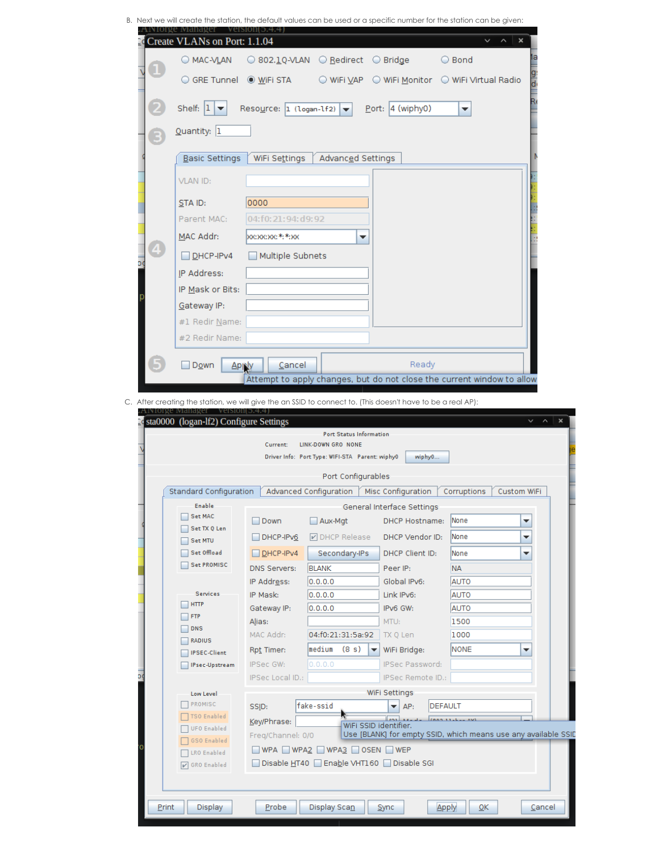B. Next we will create the station, the default values can be used or a specific number for the station can be given:

| O MAC-VLAN                         |                                              | ○ 802.1Q-VLAN ○ Redirect ○ Bridge                         |                                              | ○ Bond                                                                 |   |
|------------------------------------|----------------------------------------------|-----------------------------------------------------------|----------------------------------------------|------------------------------------------------------------------------|---|
|                                    | ○ GRE Tunnel ◎ <u>W</u> iFi STA              |                                                           |                                              | © WiFi VAP © WiFi Monitor © WiFi Virtual Radio                         |   |
| Shelf: $ 1 $ $\blacktriangleright$ | Resource: 1 (logan-1f2) $\blacktriangledown$ |                                                           | Port: 4 (wiphy0)                             | ▼                                                                      |   |
| Quantity: 1                        |                                              |                                                           |                                              |                                                                        |   |
| Basic Settings                     | WiFi Settings                                | Advanced Settings                                         |                                              |                                                                        |   |
| <b>VLAN ID:</b>                    |                                              |                                                           |                                              |                                                                        |   |
| $STA$ ID:                          | 0000                                         |                                                           |                                              |                                                                        |   |
| Parent MAC:                        | 04:f0:21:94:d9:92                            |                                                           |                                              |                                                                        |   |
| MAC Addr:                          | <b>boc:xoc:xoc:*:*:xoc</b>                   | ▼                                                         |                                              |                                                                        |   |
| DHCP-IPv4                          | Multiple Subnets                             |                                                           |                                              |                                                                        |   |
| IP Address:                        |                                              |                                                           |                                              |                                                                        |   |
| IP Mask or Bits:                   |                                              |                                                           |                                              |                                                                        |   |
| Gateway IP:                        |                                              |                                                           |                                              |                                                                        |   |
| #1 Redir Name:                     |                                              |                                                           |                                              |                                                                        |   |
| #2 Redir Name:                     |                                              |                                                           |                                              |                                                                        |   |
|                                    |                                              |                                                           |                                              |                                                                        |   |
| Down<br><b>Aprily</b>              | Cancel                                       |                                                           | Ready                                        | Attempt to apply changes, but do not close the current window to allow |   |
|                                    |                                              |                                                           |                                              |                                                                        |   |
|                                    | Current:                                     | Port Status Information<br>LINK-DOWN GRO NONE             |                                              |                                                                        |   |
|                                    |                                              | Driver Info: Port Type: WIFI-STA Parent: wiphy0           | wiphy0                                       |                                                                        |   |
|                                    |                                              | Port Configurables                                        |                                              |                                                                        |   |
| Standard Configuration<br>Enable   |                                              |                                                           | Advanced Configuration   Misc Configuration  | <b>Custom WiFi</b><br>Corruptions                                      |   |
| Set MAC                            | $\Box$ Down                                  | $\Box$ Aux-Mgt                                            | General Interface Settings<br>DHCP Hostname: | None                                                                   | ▼ |
| Set TX Q Len                       | DHCP-IPv6                                    | DI DHCP Release                                           | DHCP Vendor ID:                              | None                                                                   | ▼ |
| Set MTU<br>Set Offload             | DHCP-IPv4                                    | Secondary-IPs                                             | DHCP Client ID:                              | None                                                                   | ▼ |
| <b>Set PROMISC</b>                 | DNS Servers:                                 | <b>BLANK</b>                                              | Peer IP:                                     | <b>NA</b>                                                              |   |
|                                    | IP Address:                                  | 0.0.0.0                                                   | Global IPv6:                                 | <b>AUTO</b>                                                            |   |
| Services                           | IP Mask:                                     | 0.0.0.0                                                   | Link IPv6:                                   | <b>AUTO</b>                                                            |   |
| <b>HTTP</b><br><b>FTP</b>          | Gateway IP:                                  | 0.0.0.0                                                   | IPv6 GW:                                     | <b>AUTO</b>                                                            |   |
| <b>DNS</b>                         | A <u>l</u> ias:                              |                                                           | MTU:                                         | 1500                                                                   |   |
| RADIUS                             | MAC Addr:                                    | 04:f0:21:31:5a:92                                         | TX Q Len                                     | 1000                                                                   |   |
| <b>IPSEC-Client</b>                | Rpt Timer:                                   | medium<br>(8 s)                                           | WiFi Bridge:                                 | <b>NONE</b>                                                            | ▼ |
| IPsec-Upstream                     | IPSec GW:                                    | 0.0.0.0                                                   | IPSec Password:                              |                                                                        |   |
|                                    | IPSec Local ID.:                             |                                                           | IPSec Remote ID.:                            |                                                                        |   |
| Low Level                          |                                              |                                                           | WiFi Settings                                |                                                                        |   |
| PROMISC                            | SSID:                                        | fake-ssid                                                 | $\blacktriangleright$   AP:                  | <b>DEFAULT</b>                                                         |   |
| TSO Enabled                        | Key/Phrase:                                  |                                                           | حدبال                                        | Tonn 11-L- AVE                                                         |   |
| UFO Enabled                        | Freq/Channel: 0/0                            |                                                           | WiFi SSID identifier.                        | Use [BLANK] for empty SSID, which means use any available SSID         |   |
| GSO Enabled                        |                                              | $\Box$ WPA $\Box$ WPA2 $\Box$ WPA3 $\Box$ OSEN $\Box$ WEP |                                              |                                                                        |   |
| LRO Enabled                        |                                              |                                                           | Disable HT40 Enable VHT160 Disable SGI       |                                                                        |   |
| V GRO Enabled                      |                                              |                                                           |                                              |                                                                        |   |
|                                    |                                              |                                                           |                                              |                                                                        |   |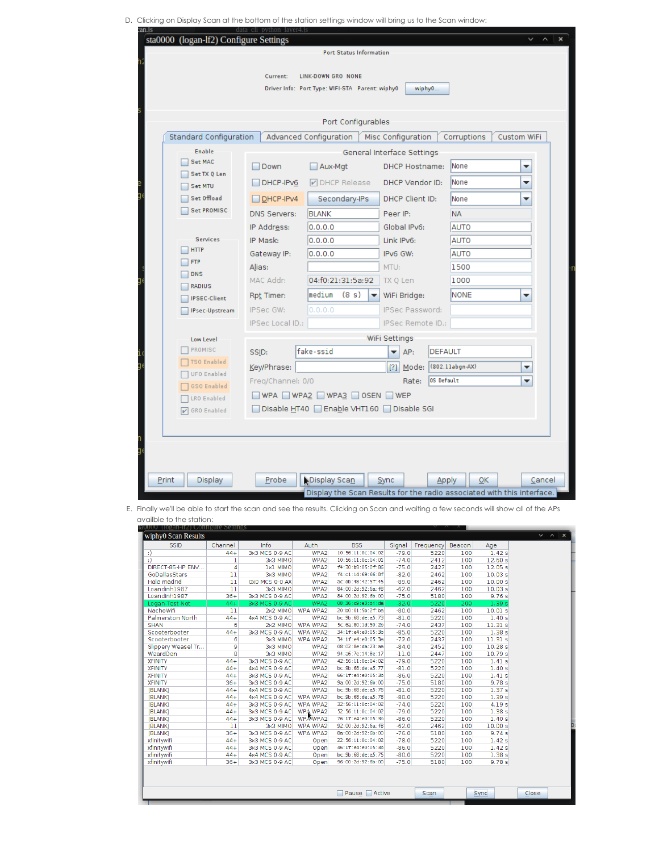D. Clicking on Display Scan at the bottom of the station settings window will bring us to the Scan window:

|                                          | data cli python layer4.js                       |                    |                            |               |                        |                |                                                                              |             |   |        |
|------------------------------------------|-------------------------------------------------|--------------------|----------------------------|---------------|------------------------|----------------|------------------------------------------------------------------------------|-------------|---|--------|
| sta0000 (logan-lf2) Configure Settings   |                                                 |                    |                            |               |                        |                |                                                                              |             |   |        |
|                                          |                                                 |                    | Port Status Information    |               |                        |                |                                                                              |             |   |        |
|                                          | Current:                                        | LINK-DOWN GRO NONE |                            |               |                        |                |                                                                              |             |   |        |
|                                          | Driver Info: Port Type: WIFI-STA Parent: wiphy0 |                    |                            |               |                        | wiphy0         |                                                                              |             |   |        |
|                                          |                                                 |                    |                            |               |                        |                |                                                                              |             |   |        |
|                                          |                                                 |                    |                            |               |                        |                |                                                                              |             |   |        |
|                                          |                                                 |                    | Port Configurables         |               |                        |                |                                                                              |             |   |        |
| Standard Configuration                   | Advanced Configuration                          |                    |                            |               | Misc Configuration     |                | Corruptions                                                                  | Custom WiFi |   |        |
| <b>Enable</b>                            |                                                 |                    | General Interface Settings |               |                        |                |                                                                              |             |   |        |
| <b>Set MAC</b>                           | Down                                            | Aux-Mgt            |                            |               | <b>DHCP Hostname:</b>  |                | None                                                                         |             | ▼ |        |
| Set TX 0 Len                             | DHCP-IPv6                                       |                    | DHCP Release               |               | DHCP Vendor ID:        |                | <b>None</b>                                                                  |             | ▼ |        |
| Set MTU<br>Set Offload                   |                                                 |                    |                            |               | DHCP Client ID:        |                |                                                                              |             |   |        |
| <b>Set PROMISC</b>                       | $\Box$ DHCP-IPv4                                |                    | Secondary-IPs              |               |                        |                | None                                                                         |             | ▼ |        |
|                                          | <b>DNS Servers:</b>                             | <b>BLANK</b>       |                            | Peer IP:      |                        |                | <b>NA</b>                                                                    |             |   |        |
|                                          | IP Address:                                     | 0.0.0.0            |                            |               | Global IPv6:           |                | <b>AUTO</b>                                                                  |             |   |        |
| <b>Services</b><br><b>HTTP</b>           | IP Mask:                                        | 0.0.0.0            |                            |               | Link IPv6:             |                | <b>AUTO</b>                                                                  |             |   |        |
| <b>FTP</b>                               | Gateway IP:                                     | 0.0.0.0            |                            |               | IPv6 GW:               |                | <b>AUTO</b>                                                                  |             |   |        |
| <b>DNS</b>                               | Alias:                                          |                    |                            | MTU:          |                        |                | 1500                                                                         |             |   |        |
| <b>RADIUS</b>                            | MAC Addr:                                       |                    | 04:f0:21:31:5a:92          |               | TX Q Len               |                | 1000                                                                         |             |   |        |
| <b>IPSEC-Client</b>                      | Rpt Timer:                                      |                    | median (8 s)<br>▼          |               | WiFi Bridge:           |                | NONE                                                                         |             | ▼ |        |
| IPsec-Upstream                           | IPSec GW:                                       | 0.0.0.0            |                            |               | <b>IPSec Password:</b> |                |                                                                              |             |   |        |
|                                          | IPSec Local ID.:                                |                    |                            |               | IPSec Remote ID.:      |                |                                                                              |             |   |        |
| Low Level                                |                                                 |                    |                            | WiFi Settings |                        |                |                                                                              |             |   |        |
| PROMISC                                  | SSID:                                           | fake-ssid          |                            | ▼∣            | AP:                    | <b>DEFAULT</b> |                                                                              |             |   |        |
| <b>TSO Enabled</b><br><b>UFO Enabled</b> | Key/Phrase:                                     |                    |                            |               | $[?]$ Mode:            |                | (802.11abgn-AX)                                                              |             | ▼ |        |
| <b>GSO Enabled</b>                       | Freq/Channel: 0/0                               |                    |                            |               | Rate:                  | OS Default     |                                                                              |             | ▼ |        |
| <b>LRO Enabled</b>                       | WPA WPA2 WPA3 OSEN WEP                          |                    |                            |               |                        |                |                                                                              |             |   |        |
| <b>V</b> GRO Enabled                     | Disable HT40 Enable VHT160 Disable SGI          |                    |                            |               |                        |                |                                                                              |             |   |        |
|                                          |                                                 |                    |                            |               |                        |                |                                                                              |             |   |        |
|                                          |                                                 |                    |                            |               |                        |                |                                                                              |             |   |        |
|                                          |                                                 |                    |                            |               |                        |                |                                                                              |             |   |        |
|                                          |                                                 |                    |                            |               |                        |                |                                                                              |             |   |        |
|                                          |                                                 |                    |                            |               |                        |                |                                                                              |             |   |        |
| Print<br><b>Display</b>                  | Probe                                           | Display Scan       |                            | Sync          |                        | <b>Apply</b>   | ОΚ<br>Display the Scan Results for the radio associated with this interface. |             |   | Cancel |

E. Finally we'll be able to start the scan and see the results. Clicking on Scan and waiting a few seconds will show all of the APs availble to the station:

| auuuu (10gan-112) Configure Settings |                |                |                  |                        |         |           |        |                   |
|--------------------------------------|----------------|----------------|------------------|------------------------|---------|-----------|--------|-------------------|
| wiphy0 Scan Results                  |                |                |                  |                        |         |           |        |                   |
| <b>SSID</b>                          | Channel        | Info           | Auth             | <b>BSS</b>             | Signal  | Frequency | Beacon | Age               |
| $\cdot$                              | $44+$          | 3x3 MCS 0-9 AC | WPA2             | 10:56:11:0c:04:02      | $-79.0$ | 5220      | 100    | 1.42s             |
| $\cdot$                              | ı              | 3x3 MIMO       | WPA2             | 10:56:11:0c:04:01      | $-74.0$ | 2412      | 100    | 12.60 s           |
| DIRECT-85-HP ENV                     | 4              | 1x1 MIMO       | WPA2             | f4:30:b9:05:0f:86      | $-75.0$ | 2427      | 100    | 12.05 s           |
| GoDallasStars                        | 11             | 3x3 MIMO       | WPA2             | f4:c1:14:69:66:8f      | $-82.0$ | 2462      | 100    | 10.03 s           |
| Hala madrid                          | 11             | 0x0 MCS 0-0 AX | WPA <sub>2</sub> | ac:db:48:42:5f:45      | $-89.0$ | 2462      | 100    | 10.00 s           |
| Loandinh1987                         | 11             | 3x3 MIMO       | WPA2             | 84:00:2d:92:6a:f8      | $-62.0$ | 2462      | 100    | 10.03 s           |
| Loandinh1987                         | $36+$          | 3x3 MCS 0-9 AC | WPA2             | 84:00:2d:92:6b:00      | $-75.0$ | 5180      | 100    | 9.76 s            |
| Logan-Test-Net                       | $44+$          | 3x3 MCS 0-9 AC | WPA2             | 08:36:c9:e3:d4:da      | $-32.0$ | 5220      | 200    | 1.39 s            |
| NachoWifi                            | 11             | 2x2 MIMO       | <b>WPA WPA2</b>  | 20:b0:01:5b:2f:ba      | $-80.0$ | 2462      | 100    | 10.01 s           |
| <b>Palmerston North</b>              | $44+$          | 4x4 MCS 0-9 AC | WPA2             | bc:9b:68:de:a5:73      | $-81.0$ | 5220      | 100    | 1.40s             |
| <b>SHAN</b>                          | 6              | 2x2 MIMO       | <b>WPA WPA2</b>  | 5c:6a:80:1d:50:2b      | $-74.0$ | 2437      | 100    | 11.31s            |
| Scooterbooter                        | $44 +$         | 3x3 MCS 0-9 AC | WPA WPA2         | 34:1f:e4:e0:05:3b      | $-85.0$ | 5220      | 100    | 1.38 <sub>s</sub> |
| Scooterbooter                        | 6              | 3x3 MIMO       | WPA WPA2         | 34:1f:e4:e0:05:3a      | $-72.0$ | 2437      | 100    | 11.31 s           |
| Slippery Weasel Tr                   | 9              | 3x3 MIMO       | WPA2             | 08:02:8e:da:23:aa      | $-84.0$ | 2452      | 100    | 10.28s            |
| WizardDen                            | $\overline{8}$ | 3x3 MIMO       | WPA2             | 94:a6:7e:14:8e:17      | $-11.0$ | 2447      | 100    | 10.79 s           |
| <b>XFINITY</b>                       | $44 +$         | 3x3 MCS 0-9 AC | WPA2             | 42:56:11:0c:04:02      | $-79.0$ | 5220      | 100    | 1.41s             |
| <b>XFINITY</b>                       | $44 +$         | 4x4 MCS 0-9 AC | WPA2             | bc:9b:68:de:a5:77      | $-81.0$ | 5220      | 100    | 1.40s             |
| <b>XFINITY</b>                       | $44+$          | 3x3 MCS 0-9 AC | WPA2             | 66:1f:e4:e0:05:3b      | $-86.0$ | 5220      | 100    | 1.41s             |
| <b>XFINITY</b>                       | $36+$          | 3x3 MCS 0-9 AC | WPA <sub>2</sub> | 9a: 00: 2d: 92: 6b: 00 | $-75.0$ | 5180      | 100    | 9.78 s            |
| <b>IBLANKI</b>                       | $44+$          | 4x4 MCS 0-9 AC | WPA <sub>2</sub> | bc:9b:68:de:a5:76      | $-81.0$ | 5220      | 100    | 1.37 <sub>s</sub> |
| [BLANK]                              | $44+$          | 4x4 MCS 0-9 AC | WPA WPA2         | bc:9b:68:de:a5:78      | $-80.0$ | 5220      | 100    | 1.39s             |
| <b>IBLANKI</b>                       | $44 +$         | 3x3 MCS 0-9 AC | WPA WPA2         | 32:56:11:0c:04:02      | $-74.0$ | 5220      | 100    | 4.19s             |
| [BLANK]                              | $44+$          | 3x3 MCS 0-9 AC | <b>WPA WPA2</b>  | 52:56:11:0c:04:02      | $-79.0$ | 5220      | 100    | 1.38s             |
| <b>[BLANK]</b>                       | $44 +$         | 3x3 MCS 0-9 AC | WPAWPA2          | 76:1f:e4:e0:05:3b      | $-86.0$ | 5220      | 100    | 1.40s             |
| <b>[BLANK]</b>                       | 11             | 3x3 MIMO       | WPA WPA2         | 92:00:2d:92:6a:f8      | $-62.0$ | 2462      | 100    | 10.00 s           |
| <b>IBLANKI</b>                       | $36+$          | 3x3 MCS 0-9 AC | WPA WPA2         | 8a:00:2d:92:6b:00      | $-76.0$ | 5180      | 100    | 9.74 s            |
| xfinitywifi                          | $44+$          | 3x3 MCS 0-9 AC | Open             | 22:56:11:0c:04:02      | $-78.0$ | 5220      | 100    | 1.42s             |
| xfinitywifi                          | $44+$          | 3x3 MCS 0-9 AC | Open             | 46:1f:e4:e0:05:3b      | $-86.0$ | 5220      | 100    | 1.42s             |
| xfinitywifi                          | $44+$          | 4x4 MCS 0-9 AC | Open             | bc:9b:68:de:a5:75      | $-80.0$ | 5220      | 100    | 1.38s             |
| xfinitywifi                          | $36+$          | 3x3 MCS 0-9 AC | Open             | 96:00:2d:92:6b:00      | $-75.0$ | 5180      | 100    | 9.78 s            |
|                                      |                |                |                  |                        |         |           |        |                   |
|                                      |                |                |                  | Pause Active           |         | Scan      |        | Sync              |
|                                      |                |                |                  |                        |         |           |        |                   |